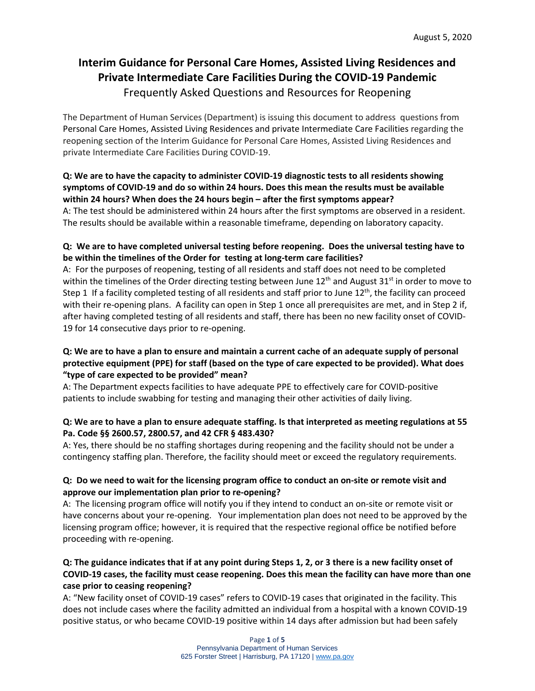# **Interim Guidance for Personal Care Homes, Assisted Living Residences and Private Intermediate Care Facilities During the COVID-19 Pandemic** Frequently Asked Questions and Resources for Reopening

The Department of Human Services (Department) is issuing this document to address questions from Personal Care Homes, Assisted Living Residences and private Intermediate Care Facilities regarding the reopening section of the Interim Guidance for Personal Care Homes, Assisted Living Residences and private Intermediate Care Facilities During COVID-19.

# **Q: We are to have the capacity to administer COVID-19 diagnostic tests to all residents showing symptoms of COVID-19 and do so within 24 hours. Does this mean the results must be available within 24 hours? When does the 24 hours begin – after the first symptoms appear?**

A: The test should be administered within 24 hours after the first symptoms are observed in a resident. The results should be available within a reasonable timeframe, depending on laboratory capacity.

# **Q: We are to have completed universal testing before reopening. Does the universal testing have to be within the timelines of the Order for testing at long-term care facilities?**

A: For the purposes of reopening, testing of all residents and staff does not need to be completed within the timelines of the Order directing testing between June  $12<sup>th</sup>$  and August  $31<sup>st</sup>$  in order to move to Step 1 If a facility completed testing of all residents and staff prior to June  $12<sup>th</sup>$ , the facility can proceed with their re-opening plans. A facility can open in Step 1 once all prerequisites are met, and in Step 2 if, after having completed testing of all residents and staff, there has been no new facility onset of COVID-19 for 14 consecutive days prior to re-opening.

### **Q: We are to have a plan to ensure and maintain a current cache of an adequate supply of personal protective equipment (PPE) for staff (based on the type of care expected to be provided). What does "type of care expected to be provided" mean?**

A: The Department expects facilities to have adequate PPE to effectively care for COVID-positive patients to include swabbing for testing and managing their other activities of daily living.

# **Q: We are to have a plan to ensure adequate staffing. Is that interpreted as meeting regulations at 55 Pa. Code §§ 2600.57, 2800.57, and 42 CFR § 483.430?**

A: Yes, there should be no staffing shortages during reopening and the facility should not be under a contingency staffing plan. Therefore, the facility should meet or exceed the regulatory requirements.

# **Q: Do we need to wait for the licensing program office to conduct an on-site or remote visit and approve our implementation plan prior to re-opening?**

A: The licensing program office will notify you if they intend to conduct an on-site or remote visit or have concerns about your re-opening. Your implementation plan does not need to be approved by the licensing program office; however, it is required that the respective regional office be notified before proceeding with re-opening.

# **Q: The guidance indicates that if at any point during Steps 1, 2, or 3 there is a new facility onset of COVID-19 cases, the facility must cease reopening. Does this mean the facility can have more than one case prior to ceasing reopening?**

A: "New facility onset of COVID-19 cases" refers to COVID-19 cases that originated in the facility. This does not include cases where the facility admitted an individual from a hospital with a known COVID-19 positive status, or who became COVID-19 positive within 14 days after admission but had been safely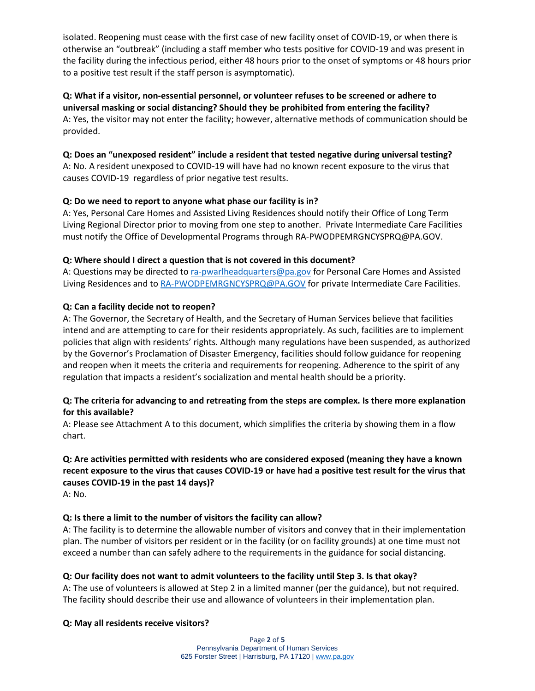isolated. Reopening must cease with the first case of new facility onset of COVID-19, or when there is otherwise an "outbreak" (including a staff member who tests positive for COVID-19 and was present in the facility during the infectious period, either 48 hours prior to the onset of symptoms or 48 hours prior to a positive test result if the staff person is asymptomatic).

# **Q: What if a visitor, non-essential personnel, or volunteer refuses to be screened or adhere to universal masking or social distancing? Should they be prohibited from entering the facility?** A: Yes, the visitor may not enter the facility; however, alternative methods of communication should be provided.

# **Q: Does an "unexposed resident" include a resident that tested negative during universal testing?**

A: No. A resident unexposed to COVID-19 will have had no known recent exposure to the virus that causes COVID-19 regardless of prior negative test results.

### **Q: Do we need to report to anyone what phase our facility is in?**

A: Yes, Personal Care Homes and Assisted Living Residences should notify their Office of Long Term Living Regional Director prior to moving from one step to another. Private Intermediate Care Facilities must notify the Office of Developmental Programs through RA-PWODPEMRGNCYSPRQ@PA.GOV.

#### **Q: Where should I direct a question that is not covered in this document?**

A: Questions may be directed to [ra-pwarlheadquarters@pa.gov](mailto:ra-pwarlheadquarters@pa.gov) for Personal Care Homes and Assisted Living Residences and t[o RA-PWODPEMRGNCYSPRQ@PA.GOV](mailto:RA-PWODPEMRGNCYSPRQ@PA.GOV) for private Intermediate Care Facilities.

# **Q: Can a facility decide not to reopen?**

A: The Governor, the Secretary of Health, and the Secretary of Human Services believe that facilities intend and are attempting to care for their residents appropriately. As such, facilities are to implement policies that align with residents' rights. Although many regulations have been suspended, as authorized by the Governor's Proclamation of Disaster Emergency, facilities should follow guidance for reopening and reopen when it meets the criteria and requirements for reopening. Adherence to the spirit of any regulation that impacts a resident's socialization and mental health should be a priority.

### **Q: The criteria for advancing to and retreating from the steps are complex. Is there more explanation for this available?**

A: Please see Attachment A to this document, which simplifies the criteria by showing them in a flow chart.

# **Q: Are activities permitted with residents who are considered exposed (meaning they have a known recent exposure to the virus that causes COVID-19 or have had a positive test result for the virus that causes COVID-19 in the past 14 days)?**

A: No.

# **Q: Is there a limit to the number of visitors the facility can allow?**

A: The facility is to determine the allowable number of visitors and convey that in their implementation plan. The number of visitors per resident or in the facility (or on facility grounds) at one time must not exceed a number than can safely adhere to the requirements in the guidance for social distancing.

#### **Q: Our facility does not want to admit volunteers to the facility until Step 3. Is that okay?**

A: The use of volunteers is allowed at Step 2 in a limited manner (per the guidance), but not required. The facility should describe their use and allowance of volunteers in their implementation plan.

#### **Q: May all residents receive visitors?**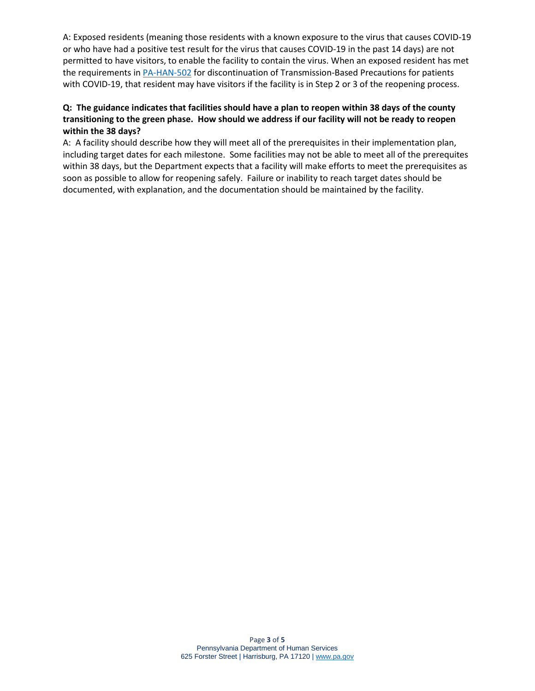A: Exposed residents (meaning those residents with a known exposure to the virus that causes COVID-19 or who have had a positive test result for the virus that causes COVID-19 in the past 14 days) are not permitted to have visitors, to enable the facility to contain the virus. When an exposed resident has met the requirements i[n PA-HAN-502](https://www.health.pa.gov/topics/Documents/HAN/2020-PAHAN-502-05-01-ADV-Discontinui.pdf) for discontinuation of Transmission-Based Precautions for patients with COVID-19, that resident may have visitors if the facility is in Step 2 or 3 of the reopening process.

# **Q: The guidance indicates that facilities should have a plan to reopen within 38 days of the county transitioning to the green phase. How should we address if our facility will not be ready to reopen within the 38 days?**

A: A facility should describe how they will meet all of the prerequisites in their implementation plan, including target dates for each milestone. Some facilities may not be able to meet all of the prerequites within 38 days, but the Department expects that a facility will make efforts to meet the prerequisites as soon as possible to allow for reopening safely. Failure or inability to reach target dates should be documented, with explanation, and the documentation should be maintained by the facility.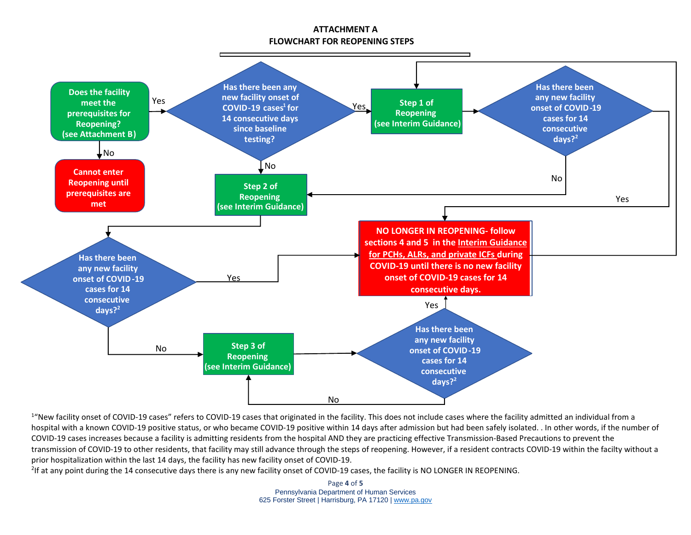# **ATTACHMENT A FLOWCHART FOR REOPENING STEPS**



<sup>1</sup> New facility onset of COVID-19 cases" refers to COVID-19 cases that originated in the facility. This does not include cases where the facility admitted an individual from a hospital with a known COVID-19 positive status, or who became COVID-19 positive within 14 days after admission but had been safely isolated. . In other words, if the number of COVID-19 cases increases because a facility is admitting residents from the hospital AND they are practicing effective Transmission-Based Precautions to prevent the transmission of COVID-19 to other residents, that facility may still advance through the steps of reopening. However, if a resident contracts COVID-19 within the facilty without a prior hospitalization within the last 14 days, the facility has new facility onset of COVID-19.

<sup>2</sup>If at any point during the 14 consecutive days there is any new facility onset of COVID-19 cases, the facility is NO LONGER IN REOPENING.

Page **4** of **5** Pennsylvania Department of Human Services 625 Forster Street | Harrisburg, PA 17120 [| www.pa.gov](http://www.pa.gov/)